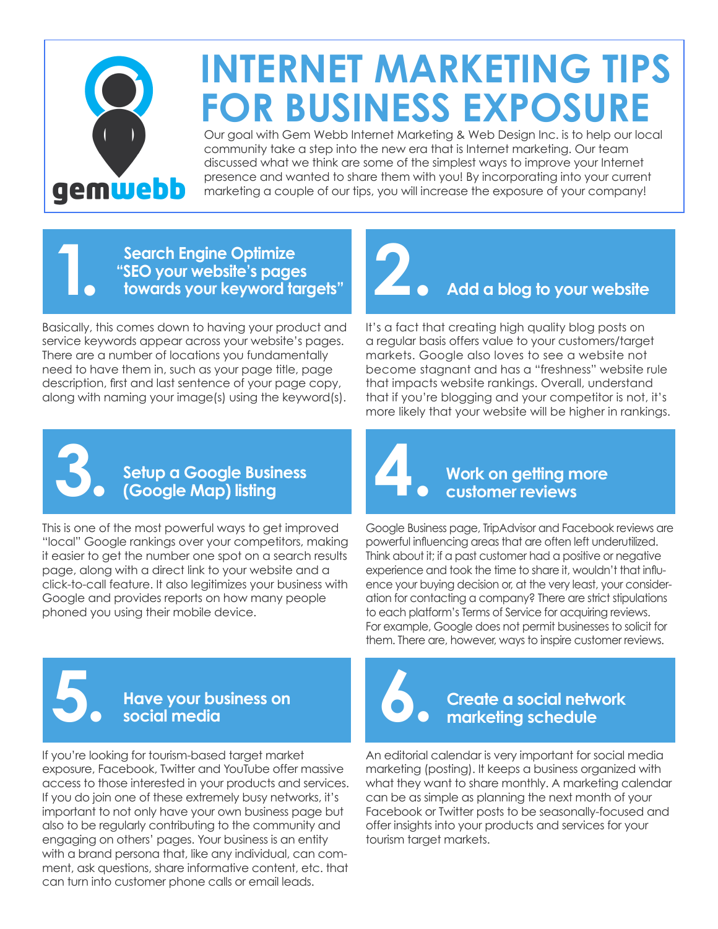

### **INTERNET MARKETING TIPS [FOR BUSINESS EXPOSURE](https://www.gemwebb.com/)**

Our goal with Gem Webb Internet Marketing & Web Design Inc. is to help our local community take a step into the new era that is Internet marketing. Our team discussed what we think are some of the simplest ways to improve your Internet presence and wanted to share them with you! By incorporating into your current marketing a couple of our tips, you will increase the exposure of your company!

#### **Search Engine Optimize Example 3. Search Engine Optimize<br>"SEO your website's pages<br><b>1. towards your keyword targets"** Easy to Website Websites Found by Tow 519-937-932 **2 SLOGANS IN USE:** Local Strategy, Proven Results,

Basically, this comes down to having your product and service keywords appear across your website's pages. There are a number of locations you fundamentally need to have them in, such as your page title, page description, first and last sentence of your page copy, along with naming your image(s) using the keyword(s). **2. Add a blog to your website**

It's a fact that creating high quality blog posts on a regular basis offers value to your customers/target markets. Google also loves to see a website not become stagnant and has a "freshness" website rule that impacts website rankings. Overall, understand that if you're blogging and your competitor is not, it's more likely that your website will be higher in rankings.



**Setup a Google Business 3. (Google Map) listing**

This is one of the most powerful ways to get improved "local" Google rankings over your competitors, making it easier to get the number one spot on a search results page, along with a direct link to your website and a click-to-call feature. It also legitimizes your business with Google and provides reports on how many people phoned you using their mobile device.

## **Work on getting more 4. customer reviews**

Google Business page, TripAdvisor and Facebook reviews are powerful influencing areas that are often left underutilized. Think about it; if a past customer had a positive or negative experience and took the time to share it, wouldn't that influence your buying decision or, at the very least, your consideration for contacting a company? There are strict stipulations to each platform's Terms of Service for acquiring reviews. For example, Google does not permit businesses to solicit for them. There are, however, ways to inspire customer reviews.



### **Have your business on 5. social media**

If you're looking for tourism-based target market exposure, Facebook, Twitter and YouTube offer massive access to those interested in your products and services. If you do join one of these extremely busy networks, it's important to not only have your own business page but also to be regularly contributing to the community and engaging on others' pages. Your business is an entity with a brand persona that, like any individual, can comment, ask questions, share informative content, etc. that can turn into customer phone calls or email leads.



#### **Create a social network marketing schedule**

An editorial calendar is very important for social media marketing (posting). It keeps a business organized with what they want to share monthly. A marketing calendar can be as simple as planning the next month of your Facebook or Twitter posts to be seasonally-focused and offer insights into your products and services for your tourism target markets.